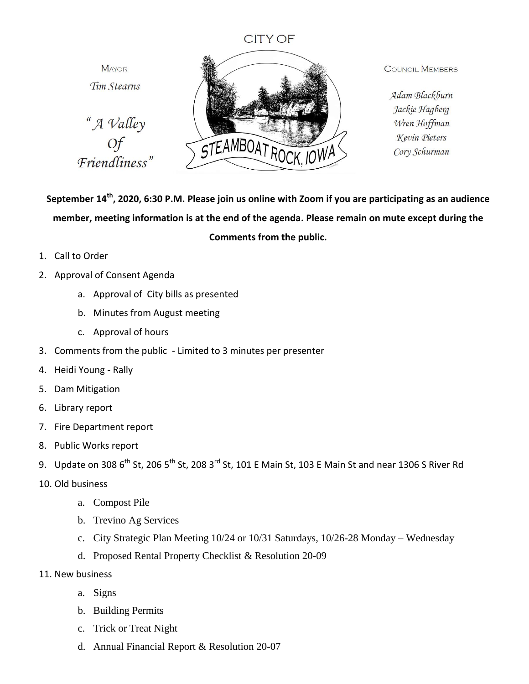## **CITY OF**

**MAYOR** Tim Stearns





**COUNCIL MEMBERS** 

Adam Blackburn Jackie Hagberg Wren Hoffman Kevin Pieters Cory Schurman

## **September 14th, 2020, 6:30 P.M. Please join us online with Zoom if you are participating as an audience member, meeting information is at the end of the agenda. Please remain on mute except during the Comments from the public.**

- 1. Call to Order
- 2. Approval of Consent Agenda
	- a. Approval of City bills as presented
	- b. Minutes from August meeting
	- c. Approval of hours
- 3. Comments from the public Limited to 3 minutes per presenter
- 4. Heidi Young Rally
- 5. Dam Mitigation
- 6. Library report
- 7. Fire Department report
- 8. Public Works report
- 9. Update on 308  $6^{th}$  St, 206  $5^{th}$  St, 208 3<sup>rd</sup> St, 101 E Main St, 103 E Main St and near 1306 S River Rd
- 10. Old business
	- a. Compost Pile
	- b. Trevino Ag Services
	- c. City Strategic Plan Meeting 10/24 or 10/31 Saturdays, 10/26-28 Monday Wednesday
	- d. Proposed Rental Property Checklist & Resolution 20-09
- 11. New business
	- a. Signs
	- b. Building Permits
	- c. Trick or Treat Night
	- d. Annual Financial Report & Resolution 20-07